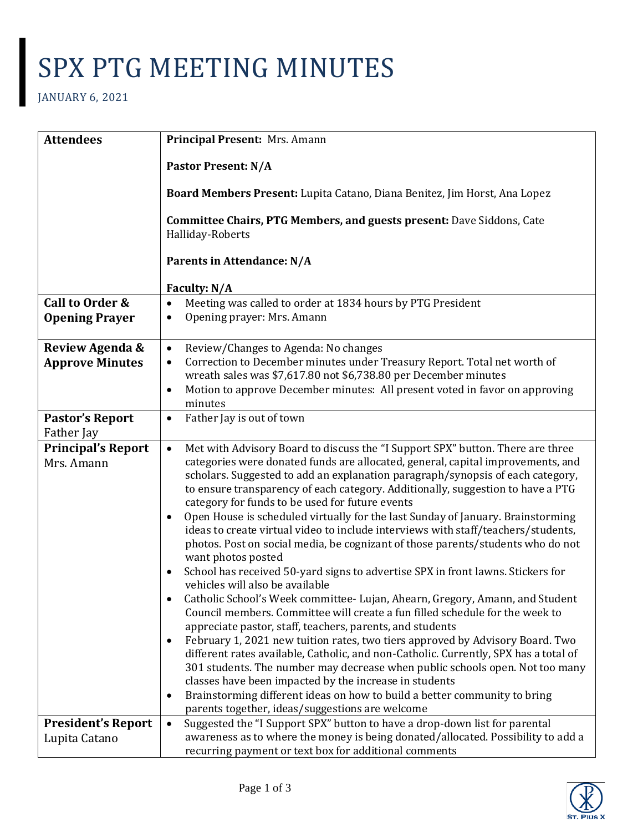## SPX PTG MEETING MINUTES

## JANUARY 6, 2021

| <b>Attendees</b>                           | Principal Present: Mrs. Amann                                                                                                                                                                                                                                                                                                                                                                                                                                                                                                                                                                                                                                                                                                                                                                                                                                                                                                                                                                                                                                                                                                                                                                                                                                                                                                                                                                                                                                                                                                             |
|--------------------------------------------|-------------------------------------------------------------------------------------------------------------------------------------------------------------------------------------------------------------------------------------------------------------------------------------------------------------------------------------------------------------------------------------------------------------------------------------------------------------------------------------------------------------------------------------------------------------------------------------------------------------------------------------------------------------------------------------------------------------------------------------------------------------------------------------------------------------------------------------------------------------------------------------------------------------------------------------------------------------------------------------------------------------------------------------------------------------------------------------------------------------------------------------------------------------------------------------------------------------------------------------------------------------------------------------------------------------------------------------------------------------------------------------------------------------------------------------------------------------------------------------------------------------------------------------------|
|                                            | <b>Pastor Present: N/A</b>                                                                                                                                                                                                                                                                                                                                                                                                                                                                                                                                                                                                                                                                                                                                                                                                                                                                                                                                                                                                                                                                                                                                                                                                                                                                                                                                                                                                                                                                                                                |
|                                            | Board Members Present: Lupita Catano, Diana Benitez, Jim Horst, Ana Lopez                                                                                                                                                                                                                                                                                                                                                                                                                                                                                                                                                                                                                                                                                                                                                                                                                                                                                                                                                                                                                                                                                                                                                                                                                                                                                                                                                                                                                                                                 |
|                                            | Committee Chairs, PTG Members, and guests present: Dave Siddons, Cate<br>Halliday-Roberts                                                                                                                                                                                                                                                                                                                                                                                                                                                                                                                                                                                                                                                                                                                                                                                                                                                                                                                                                                                                                                                                                                                                                                                                                                                                                                                                                                                                                                                 |
|                                            | Parents in Attendance: N/A                                                                                                                                                                                                                                                                                                                                                                                                                                                                                                                                                                                                                                                                                                                                                                                                                                                                                                                                                                                                                                                                                                                                                                                                                                                                                                                                                                                                                                                                                                                |
|                                            | Faculty: N/A                                                                                                                                                                                                                                                                                                                                                                                                                                                                                                                                                                                                                                                                                                                                                                                                                                                                                                                                                                                                                                                                                                                                                                                                                                                                                                                                                                                                                                                                                                                              |
| Call to Order &<br><b>Opening Prayer</b>   | Meeting was called to order at 1834 hours by PTG President<br>$\bullet$<br>Opening prayer: Mrs. Amann<br>$\bullet$                                                                                                                                                                                                                                                                                                                                                                                                                                                                                                                                                                                                                                                                                                                                                                                                                                                                                                                                                                                                                                                                                                                                                                                                                                                                                                                                                                                                                        |
| Review Agenda &<br><b>Approve Minutes</b>  | Review/Changes to Agenda: No changes<br>٠<br>Correction to December minutes under Treasury Report. Total net worth of<br>wreath sales was \$7,617.80 not \$6,738.80 per December minutes<br>Motion to approve December minutes: All present voted in favor on approving<br>$\bullet$<br>minutes                                                                                                                                                                                                                                                                                                                                                                                                                                                                                                                                                                                                                                                                                                                                                                                                                                                                                                                                                                                                                                                                                                                                                                                                                                           |
| <b>Pastor's Report</b><br>Father Jay       | Father Jay is out of town<br>$\bullet$                                                                                                                                                                                                                                                                                                                                                                                                                                                                                                                                                                                                                                                                                                                                                                                                                                                                                                                                                                                                                                                                                                                                                                                                                                                                                                                                                                                                                                                                                                    |
| <b>Principal's Report</b><br>Mrs. Amann    | Met with Advisory Board to discuss the "I Support SPX" button. There are three<br>$\bullet$<br>categories were donated funds are allocated, general, capital improvements, and<br>scholars. Suggested to add an explanation paragraph/synopsis of each category,<br>to ensure transparency of each category. Additionally, suggestion to have a PTG<br>category for funds to be used for future events<br>Open House is scheduled virtually for the last Sunday of January. Brainstorming<br>$\bullet$<br>ideas to create virtual video to include interviews with staff/teachers/students,<br>photos. Post on social media, be cognizant of those parents/students who do not<br>want photos posted<br>School has received 50-yard signs to advertise SPX in front lawns. Stickers for<br>$\bullet$<br>vehicles will also be available<br>Catholic School's Week committee- Lujan, Ahearn, Gregory, Amann, and Student<br>Council members. Committee will create a fun filled schedule for the week to<br>appreciate pastor, staff, teachers, parents, and students<br>February 1, 2021 new tuition rates, two tiers approved by Advisory Board. Two<br>$\bullet$<br>different rates available, Catholic, and non-Catholic. Currently, SPX has a total of<br>301 students. The number may decrease when public schools open. Not too many<br>classes have been impacted by the increase in students<br>Brainstorming different ideas on how to build a better community to bring<br>٠<br>parents together, ideas/suggestions are welcome |
| <b>President's Report</b><br>Lupita Catano | Suggested the "I Support SPX" button to have a drop-down list for parental<br>$\bullet$<br>awareness as to where the money is being donated/allocated. Possibility to add a<br>recurring payment or text box for additional comments                                                                                                                                                                                                                                                                                                                                                                                                                                                                                                                                                                                                                                                                                                                                                                                                                                                                                                                                                                                                                                                                                                                                                                                                                                                                                                      |

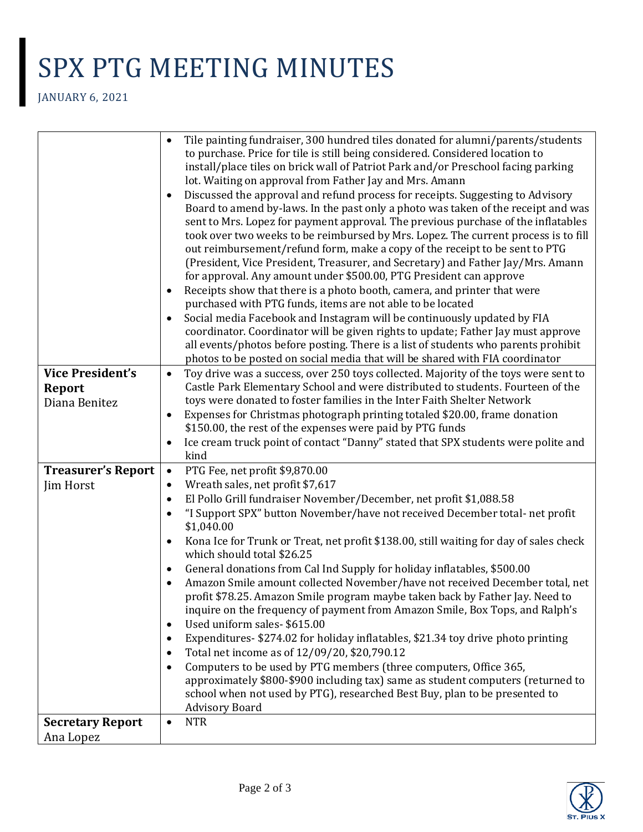## SPX PTG MEETING MINUTES

JANUARY 6, 2021

|                                      | Tile painting fundraiser, 300 hundred tiles donated for alumni/parents/students<br>$\bullet$                         |
|--------------------------------------|----------------------------------------------------------------------------------------------------------------------|
|                                      | to purchase. Price for tile is still being considered. Considered location to                                        |
|                                      | install/place tiles on brick wall of Patriot Park and/or Preschool facing parking                                    |
|                                      | lot. Waiting on approval from Father Jay and Mrs. Amann                                                              |
|                                      | Discussed the approval and refund process for receipts. Suggesting to Advisory                                       |
|                                      | Board to amend by-laws. In the past only a photo was taken of the receipt and was                                    |
|                                      | sent to Mrs. Lopez for payment approval. The previous purchase of the inflatables                                    |
|                                      | took over two weeks to be reimbursed by Mrs. Lopez. The current process is to fill                                   |
|                                      | out reimbursement/refund form, make a copy of the receipt to be sent to PTG                                          |
|                                      | (President, Vice President, Treasurer, and Secretary) and Father Jay/Mrs. Amann                                      |
|                                      | for approval. Any amount under \$500.00, PTG President can approve                                                   |
|                                      | Receipts show that there is a photo booth, camera, and printer that were<br>$\bullet$                                |
|                                      | purchased with PTG funds, items are not able to be located                                                           |
|                                      | Social media Facebook and Instagram will be continuously updated by FIA<br>$\bullet$                                 |
|                                      | coordinator. Coordinator will be given rights to update; Father Jay must approve                                     |
|                                      | all events/photos before posting. There is a list of students who parents prohibit                                   |
|                                      | photos to be posted on social media that will be shared with FIA coordinator                                         |
| <b>Vice President's</b>              | Toy drive was a success, over 250 toys collected. Majority of the toys were sent to<br>$\bullet$                     |
| <b>Report</b>                        | Castle Park Elementary School and were distributed to students. Fourteen of the                                      |
| Diana Benitez                        | toys were donated to foster families in the Inter Faith Shelter Network                                              |
|                                      | Expenses for Christmas photograph printing totaled \$20.00, frame donation                                           |
|                                      | \$150.00, the rest of the expenses were paid by PTG funds                                                            |
|                                      | Ice cream truck point of contact "Danny" stated that SPX students were polite and<br>$\bullet$                       |
|                                      | kind                                                                                                                 |
| <b>Treasurer's Report</b>            | PTG Fee, net profit \$9,870.00<br>$\bullet$                                                                          |
| Jim Horst                            | Wreath sales, net profit \$7,617<br>$\bullet$                                                                        |
|                                      | El Pollo Grill fundraiser November/December, net profit \$1,088.58<br>$\bullet$                                      |
|                                      | "I Support SPX" button November/have not received December total-net profit<br>$\bullet$                             |
|                                      | \$1,040.00                                                                                                           |
|                                      | Kona Ice for Trunk or Treat, net profit \$138.00, still waiting for day of sales check<br>which should total \$26.25 |
|                                      | General donations from Cal Ind Supply for holiday inflatables, \$500.00<br>$\bullet$                                 |
|                                      | Amazon Smile amount collected November/have not received December total, net                                         |
|                                      | profit \$78.25. Amazon Smile program maybe taken back by Father Jay. Need to                                         |
|                                      | inquire on the frequency of payment from Amazon Smile, Box Tops, and Ralph's                                         |
|                                      | Used uniform sales-\$615.00                                                                                          |
|                                      | Expenditures- \$274.02 for holiday inflatables, \$21.34 toy drive photo printing                                     |
|                                      | Total net income as of 12/09/20, \$20,790.12                                                                         |
|                                      | Computers to be used by PTG members (three computers, Office 365,<br>$\bullet$                                       |
|                                      | approximately \$800-\$900 including tax) same as student computers (returned to                                      |
|                                      | school when not used by PTG), researched Best Buy, plan to be presented to                                           |
|                                      | <b>Advisory Board</b>                                                                                                |
|                                      |                                                                                                                      |
| <b>Secretary Report</b><br>Ana Lopez | <b>NTR</b><br>$\bullet$                                                                                              |